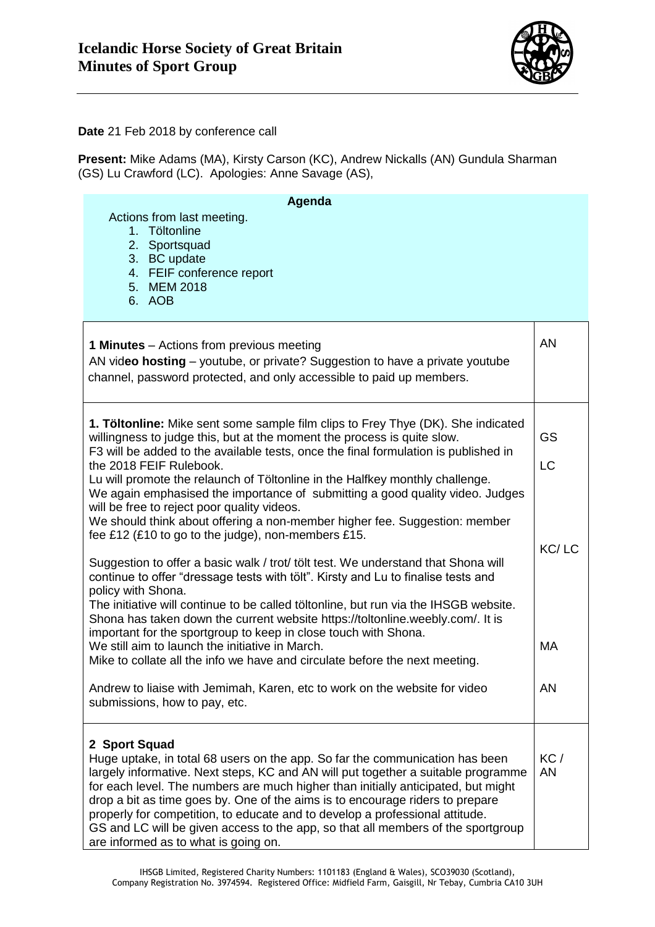

**Date** 21 Feb 2018 by conference call

**Present:** Mike Adams (MA), Kirsty Carson (KC), Andrew Nickalls (AN) Gundula Sharman (GS) Lu Crawford (LC). Apologies: Anne Savage (AS),

| Agenda                                                                                                                                                                                                                                                                                                                                                                                                                                                              |           |
|---------------------------------------------------------------------------------------------------------------------------------------------------------------------------------------------------------------------------------------------------------------------------------------------------------------------------------------------------------------------------------------------------------------------------------------------------------------------|-----------|
| Actions from last meeting.<br>1. Töltonline<br>2. Sportsquad<br>3. BC update                                                                                                                                                                                                                                                                                                                                                                                        |           |
| 4. FEIF conference report<br>5. MEM 2018<br>6. AOB                                                                                                                                                                                                                                                                                                                                                                                                                  |           |
| <b>1 Minutes</b> – Actions from previous meeting<br>AN video hosting – youtube, or private? Suggestion to have a private youtube<br>channel, password protected, and only accessible to paid up members.                                                                                                                                                                                                                                                            | <b>AN</b> |
| 1. Töltonline: Mike sent some sample film clips to Frey Thye (DK). She indicated<br>willingness to judge this, but at the moment the process is quite slow.<br>F3 will be added to the available tests, once the final formulation is published in                                                                                                                                                                                                                  | GS        |
| the 2018 FEIF Rulebook.<br>Lu will promote the relaunch of Töltonline in the Halfkey monthly challenge.<br>We again emphasised the importance of submitting a good quality video. Judges<br>will be free to reject poor quality videos.<br>We should think about offering a non-member higher fee. Suggestion: member                                                                                                                                               | <b>LC</b> |
| fee £12 (£10 to go to the judge), non-members £15.<br>Suggestion to offer a basic walk / trot/ tölt test. We understand that Shona will<br>continue to offer "dressage tests with tölt". Kirsty and Lu to finalise tests and                                                                                                                                                                                                                                        | KC/LC     |
| policy with Shona.<br>The initiative will continue to be called töltonline, but run via the IHSGB website.<br>Shona has taken down the current website https://toltonline.weebly.com/. It is<br>important for the sportgroup to keep in close touch with Shona.                                                                                                                                                                                                     |           |
| We still aim to launch the initiative in March.<br>Mike to collate all the info we have and circulate before the next meeting.                                                                                                                                                                                                                                                                                                                                      | <b>MA</b> |
| Andrew to liaise with Jemimah, Karen, etc to work on the website for video<br>submissions, how to pay, etc.                                                                                                                                                                                                                                                                                                                                                         | AN        |
| 2 Sport Squad<br>Huge uptake, in total 68 users on the app. So far the communication has been                                                                                                                                                                                                                                                                                                                                                                       | KC/       |
| largely informative. Next steps, KC and AN will put together a suitable programme<br>for each level. The numbers are much higher than initially anticipated, but might<br>drop a bit as time goes by. One of the aims is to encourage riders to prepare<br>properly for competition, to educate and to develop a professional attitude.<br>GS and LC will be given access to the app, so that all members of the sportgroup<br>are informed as to what is going on. | <b>AN</b> |